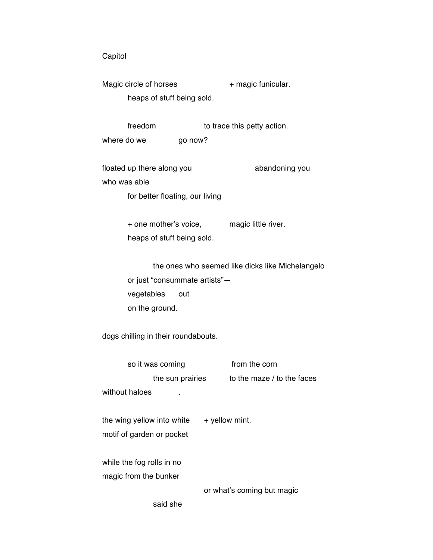## Capitol

Magic circle of horses + magic funicular. heaps of stuff being sold.

freedom to trace this petty action. where do we go now?

floated up there along you abandoning you who was able

for better floating, our living

+ one mother's voice, magic little river. heaps of stuff being sold.

the ones who seemed like dicks like Michelangelo or just "consummate artists" vegetables out on the ground.

dogs chilling in their roundabouts.

so it was coming from the corn the sun prairies to the maze  $/$  to the faces without haloes the wing yellow into white  $+$  yellow mint. motif of garden or pocket while the fog rolls in no magic from the bunker or what's coming but magic

said she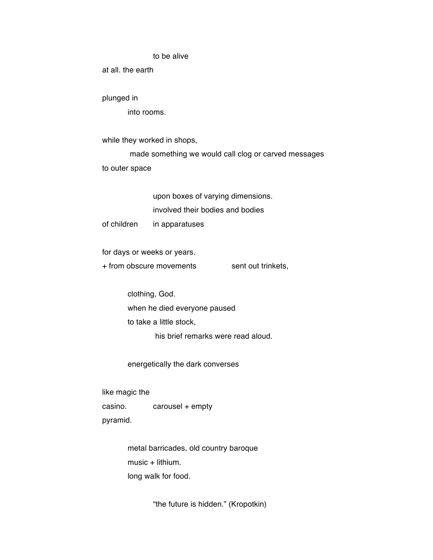## to be alive

at all. the earth

plunged in

into rooms.

while they worked in shops,

made something we would call clog or carved messages to outer space

> upon boxes of varying dimensions. involved their bodies and bodies

of children in apparatuses

for days or weeks or years.

+ from obscure movements sent out trinkets,

clothing, God. when he died everyone paused to take a little stock, his brief remarks were read aloud.

energetically the dark converses

like magic the casino. carousel + empty pyramid.

> metal barricades, old country baroque music + lithium. long walk for food.

> > "the future is hidden." (Kropotkin)